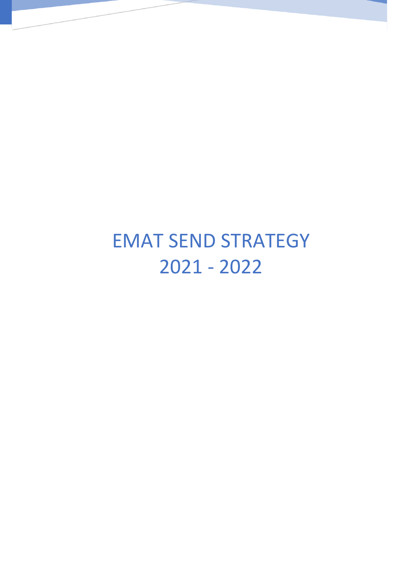# EMAT SEND STRATEGY 2021 - 2022

EMAT SEND STRATEGY 2021 - 2022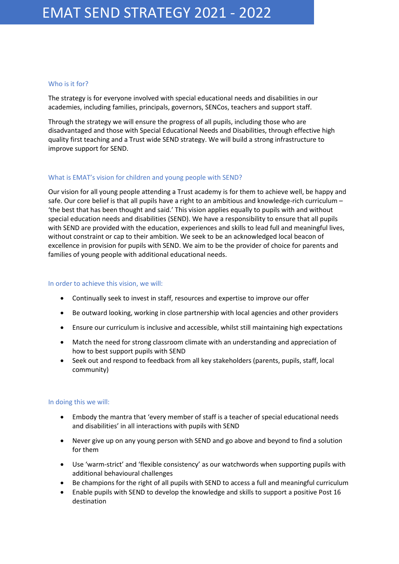# Who is it for?

The strategy is for everyone involved with special educational needs and disabilities in our academies, including families, principals, governors, SENCos, teachers and support staff.

Through the strategy we will ensure the progress of all pupils, including those who are disadvantaged and those with Special Educational Needs and Disabilities, through effective high quality first teaching and a Trust wide SEND strategy. We will build a strong infrastructure to improve support for SEND.

# What is EMAT's vision for children and young people with SEND?

Our vision for all young people attending a Trust academy is for them to achieve well, be happy and safe. Our core belief is that all pupils have a right to an ambitious and knowledge-rich curriculum – 'the best that has been thought and said.' This vision applies equally to pupils with and without special education needs and disabilities (SEND). We have a responsibility to ensure that all pupils with SEND are provided with the education, experiences and skills to lead full and meaningful lives, without constraint or cap to their ambition. We seek to be an acknowledged local beacon of excellence in provision for pupils with SEND. We aim to be the provider of choice for parents and families of young people with additional educational needs.

# In order to achieve this vision, we will:

- Continually seek to invest in staff, resources and expertise to improve our offer
- Be outward looking, working in close partnership with local agencies and other providers
- Ensure our curriculum is inclusive and accessible, whilst still maintaining high expectations
- Match the need for strong classroom climate with an understanding and appreciation of how to best support pupils with SEND
- Seek out and respond to feedback from all key stakeholders (parents, pupils, staff, local community)

# In doing this we will:

- Embody the mantra that 'every member of staff is a teacher of special educational needs and disabilities' in all interactions with pupils with SEND
- Never give up on any young person with SEND and go above and beyond to find a solution for them
- Use 'warm-strict' and 'flexible consistency' as our watchwords when supporting pupils with additional behavioural challenges
- Be champions for the right of all pupils with SEND to access a full and meaningful curriculum
- Enable pupils with SEND to develop the knowledge and skills to support a positive Post 16 destination